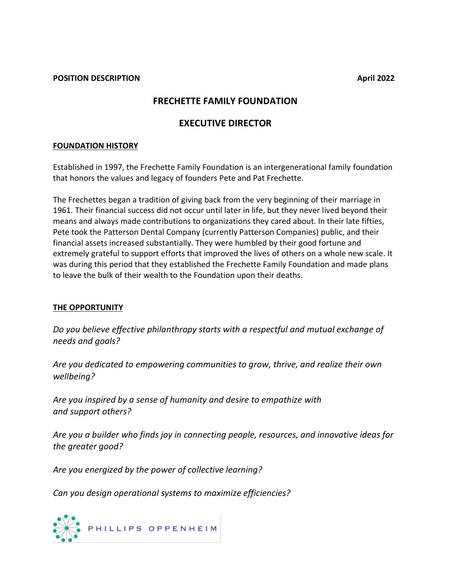#### **POSITION DESCRIPTION April 2022**

# **FRECHETTE FAMILY FOUNDATION**

# **EXECUTIVE DIRECTOR**

#### **FOUNDATION HISTORY**

Established in 1997, the Frechette Family Foundation is an intergenerational family foundation that honors the values and legacy of founders Pete and Pat Frechette.

The Frechettes began a tradition of giving back from the very beginning of their marriage in 1961. Their financial success did not occur until later in life, but they never lived beyond their means and always made contributions to organizations they cared about. In their late fifties, Pete took the Patterson Dental Company (currently Patterson Companies) public, and their financial assets increased substantially. They were humbled by their good fortune and extremely grateful to support efforts that improved the lives of others on a whole new scale. It was during this period that they established the Frechette Family Foundation and made plans to leave the bulk of their wealth to the Foundation upon their deaths.

### **THE OPPORTUNITY**

*Do you believe effective philanthropy starts with a respectful and mutual exchange of needs and goals?*

*Are you dedicated to empowering communities to grow, thrive, and realize their own wellbeing?*

*Are you inspired by a sense of humanity and desire to empathize with and support others?*

*Are you a builder who finds joy in connecting people, resources, and innovative ideas for the greater good?*

*Are you energized by the power of collective learning?*

*Can you design operational systems to maximize efficiencies?*

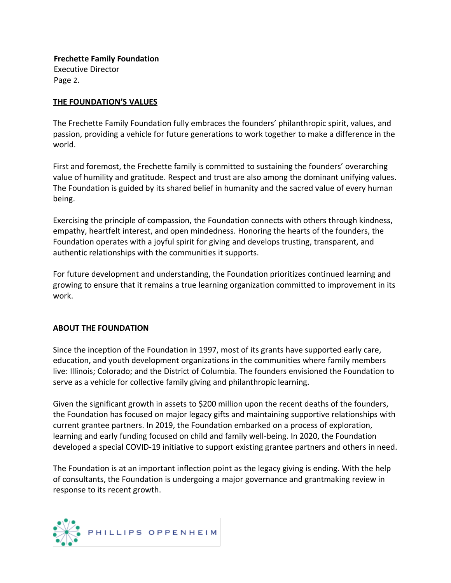**Frechette Family Foundation** Executive Director Page 2.

## **THE FOUNDATION'S VALUES**

The Frechette Family Foundation fully embraces the founders' philanthropic spirit, values, and passion, providing a vehicle for future generations to work together to make a difference in the world.

First and foremost, the Frechette family is committed to sustaining the founders' overarching value of humility and gratitude. Respect and trust are also among the dominant unifying values. The Foundation is guided by its shared belief in humanity and the sacred value of every human being.

Exercising the principle of compassion, the Foundation connects with others through kindness, empathy, heartfelt interest, and open mindedness. Honoring the hearts of the founders, the Foundation operates with a joyful spirit for giving and develops trusting, transparent, and authentic relationships with the communities it supports.

For future development and understanding, the Foundation prioritizes continued learning and growing to ensure that it remains a true learning organization committed to improvement in its work.

### **ABOUT THE FOUNDATION**

Since the inception of the Foundation in 1997, most of its grants have supported early care, education, and youth development organizations in the communities where family members live: Illinois; Colorado; and the District of Columbia. The founders envisioned the Foundation to serve as a vehicle for collective family giving and philanthropic learning.

Given the significant growth in assets to \$200 million upon the recent deaths of the founders, the Foundation has focused on major legacy gifts and maintaining supportive relationships with current grantee partners. In 2019, the Foundation embarked on a process of exploration, learning and early funding focused on child and family well-being. In 2020, the Foundation developed a special COVID-19 initiative to support existing grantee partners and others in need.

The Foundation is at an important inflection point as the legacy giving is ending. With the help of consultants, the Foundation is undergoing a major governance and grantmaking review in response to its recent growth.

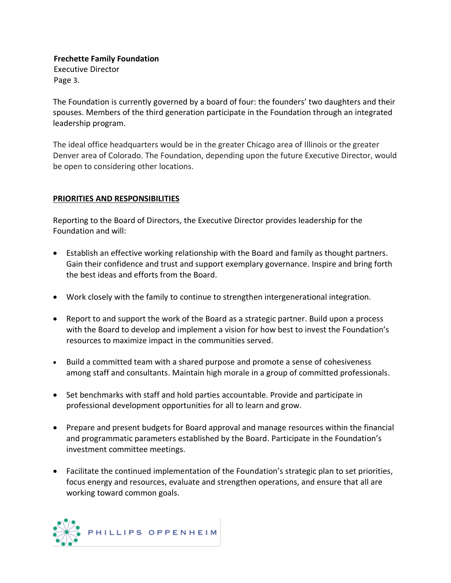# **Frechette Family Foundation**

Executive Director Page 3.

The Foundation is currently governed by a board of four: the founders' two daughters and their spouses. Members of the third generation participate in the Foundation through an integrated leadership program.

The ideal office headquarters would be in the greater Chicago area of Illinois or the greater Denver area of Colorado. The Foundation, depending upon the future Executive Director, would be open to considering other locations.

# **PRIORITIES AND RESPONSIBILITIES**

Reporting to the Board of Directors, the Executive Director provides leadership for the Foundation and will:

- Establish an effective working relationship with the Board and family as thought partners. Gain their confidence and trust and support exemplary governance. Inspire and bring forth the best ideas and efforts from the Board.
- Work closely with the family to continue to strengthen intergenerational integration.
- Report to and support the work of the Board as a strategic partner. Build upon a process with the Board to develop and implement a vision for how best to invest the Foundation's resources to maximize impact in the communities served.
- Build a committed team with a shared purpose and promote a sense of cohesiveness among staff and consultants. Maintain high morale in a group of committed professionals.
- Set benchmarks with staff and hold parties accountable. Provide and participate in professional development opportunities for all to learn and grow.
- Prepare and present budgets for Board approval and manage resources within the financial and programmatic parameters established by the Board. Participate in the Foundation's investment committee meetings.
- Facilitate the continued implementation of the Foundation's strategic plan to set priorities, focus energy and resources, evaluate and strengthen operations, and ensure that all are working toward common goals.

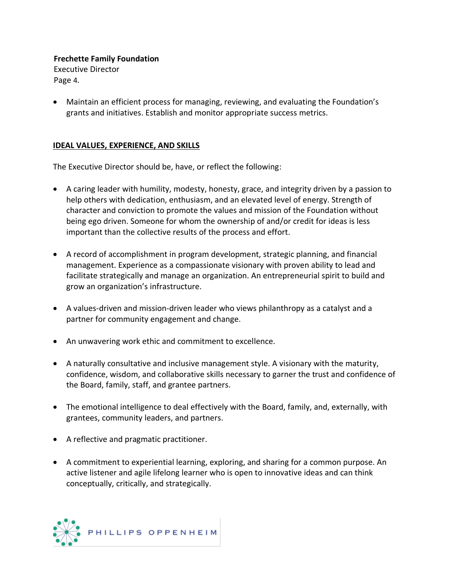# **Frechette Family Foundation**

Executive Director Page 4.

• Maintain an efficient process for managing, reviewing, and evaluating the Foundation's grants and initiatives. Establish and monitor appropriate success metrics.

# **IDEAL VALUES, EXPERIENCE, AND SKILLS**

The Executive Director should be, have, or reflect the following:

- A caring leader with humility, modesty, honesty, grace, and integrity driven by a passion to help others with dedication, enthusiasm, and an elevated level of energy. Strength of character and conviction to promote the values and mission of the Foundation without being ego driven. Someone for whom the ownership of and/or credit for ideas is less important than the collective results of the process and effort.
- A record of accomplishment in program development, strategic planning, and financial management. Experience as a compassionate visionary with proven ability to lead and facilitate strategically and manage an organization. An entrepreneurial spirit to build and grow an organization's infrastructure.
- A values-driven and mission-driven leader who views philanthropy as a catalyst and a partner for community engagement and change.
- An unwavering work ethic and commitment to excellence.
- A naturally consultative and inclusive management style. A visionary with the maturity, confidence, wisdom, and collaborative skills necessary to garner the trust and confidence of the Board, family, staff, and grantee partners.
- The emotional intelligence to deal effectively with the Board, family, and, externally, with grantees, community leaders, and partners.
- A reflective and pragmatic practitioner.
- A commitment to experiential learning, exploring, and sharing for a common purpose. An active listener and agile lifelong learner who is open to innovative ideas and can think conceptually, critically, and strategically.